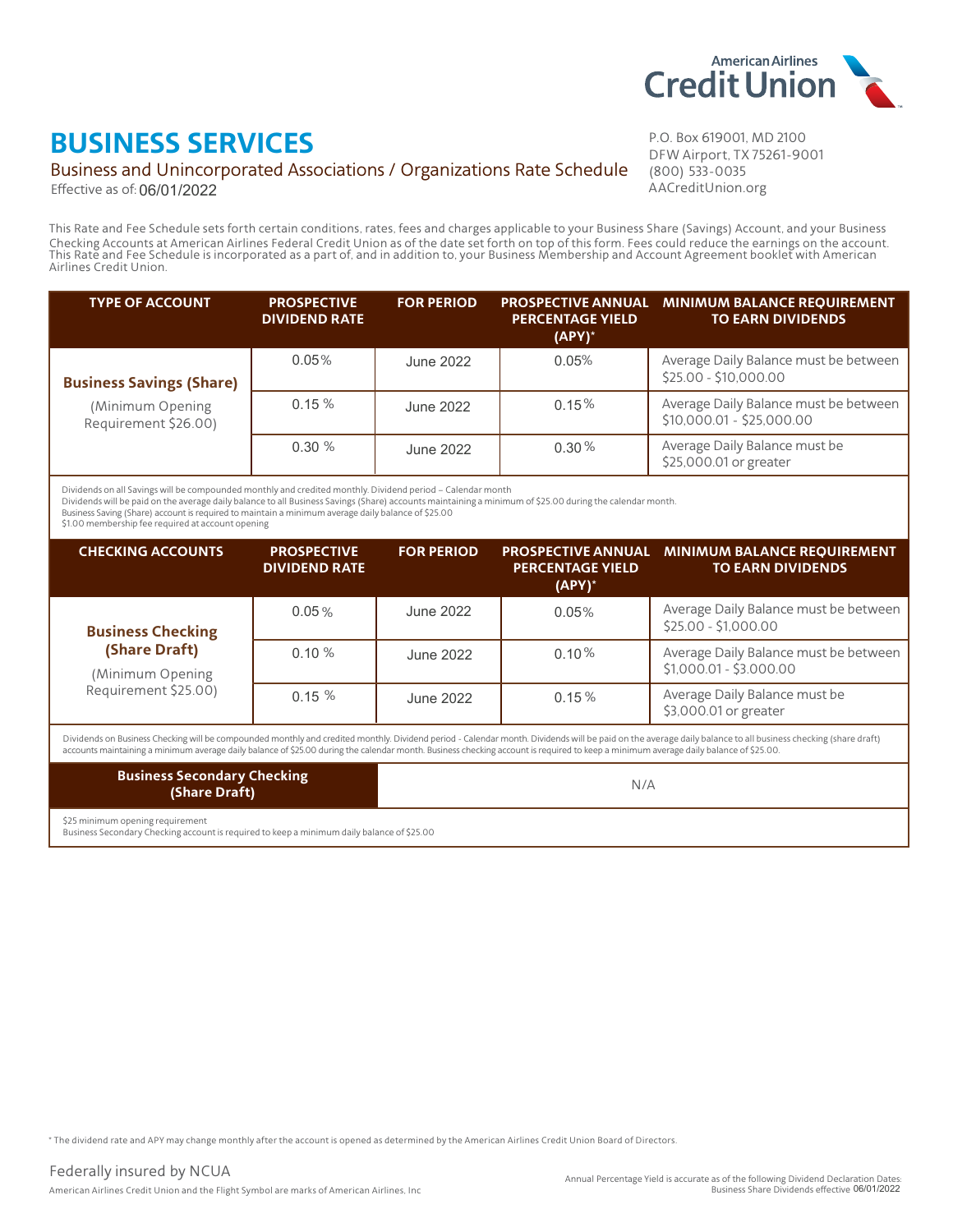

## **BUSINESS SERVICES**

#### Business and Unincorporated Associations / Organizations Rate Schedule

Effective as of: 06/01/2022

P.O. Box 619001, MD 2100 DFW Airport, TX 75261-9001 (800) 533-0035 AACreditUnion.org

This Rate and Fee Schedule sets forth certain conditions, rates, fees and charges applicable to your Business Share (Savings) Account, and your Business This Rate and Fee Schedule is incorporated as a part of, and in addition to, your Business Membership and Account Agreement booklet with American This Rate and Fee Schedule is incorporated as a part of, and in addition to, Airlines Credit Union.

| <b>TYPE OF ACCOUNT</b>                   | <b>PROSPECTIVE</b><br><b>DIVIDEND RATE</b> | <b>FOR PERIOD</b> | <b>PERCENTAGE YIELD</b><br>$(APY)^*$ | PROSPECTIVE ANNUAL MINIMUM BALANCE REQUIREMENT<br><b>TO EARN DIVIDENDS</b> |
|------------------------------------------|--------------------------------------------|-------------------|--------------------------------------|----------------------------------------------------------------------------|
| <b>Business Savings (Share)</b>          | 0.05%                                      | June 2022         | 0.05%                                | Average Daily Balance must be between<br>\$25.00 - \$10,000.00             |
| (Minimum Opening<br>Requirement \$26.00) | 0.15%                                      | June 2022         | 0.15%                                | Average Daily Balance must be between<br>\$10,000.01 - \$25,000.00         |
|                                          | 0.30%                                      | June 2022         | 0.30%                                | Average Daily Balance must be<br>\$25,000.01 or greater                    |

Dividends on all Savings will be compounded monthly and credited monthly. Dividend period - Calendar month

Dividends will be paid on the average daily balance to all Business Savings (Share) accounts maintaining a minimum of \$25.00 during the calendar month.

Business Saving (Share) account is required to maintain a minimum average daily balance of \$25.00

\$1.00 membership fee required at account opening

| <b>CHECKING ACCOUNTS</b>                                                                                                                                                             | <b>PROSPECTIVE</b><br><b>DIVIDEND RATE</b> | <b>FOR PERIOD</b> | <b>PROSPECTIVE ANNUAL</b><br><b>PERCENTAGE YIELD</b><br>$(APY)^*$ | <b>MINIMUM BALANCE REQUIREMENT</b><br><b>TO EARN DIVIDENDS</b>                                                                                                                                               |
|--------------------------------------------------------------------------------------------------------------------------------------------------------------------------------------|--------------------------------------------|-------------------|-------------------------------------------------------------------|--------------------------------------------------------------------------------------------------------------------------------------------------------------------------------------------------------------|
| <b>Business Checking</b>                                                                                                                                                             | 0.05%                                      | June 2022         | 0.05%                                                             | Average Daily Balance must be between<br>$$25.00 - $1,000.00$                                                                                                                                                |
| (Share Draft)<br>(Minimum Opening                                                                                                                                                    | 0.10%                                      | June 2022         | 0.10%                                                             | Average Daily Balance must be between<br>$$1,000.01 - $3.000.00$                                                                                                                                             |
| Requirement \$25.00)                                                                                                                                                                 | 0.15%                                      | June 2022         | 0.15%                                                             | Average Daily Balance must be<br>\$3,000.01 or greater                                                                                                                                                       |
| accounts maintaining a minimum average daily balance of \$25.00 during the calendar month. Business checking account is required to keep a minimum average daily balance of \$25.00. |                                            |                   |                                                                   | Dividends on Business Checking will be compounded monthly and credited monthly. Dividend period - Calendar month. Dividends will be paid on the average daily balance to all business checking (share draft) |

#### **Business Secondary Checking** (Share Draft)

 $N/A$ 

\$25 minimum opening requirement

Business Secondary Checking account is required to keep a minimum daily balance of \$25.00

\* The dividend rate and APY may change monthly after the account is opened as determined by the American Airlines Credit Union Board of Directors.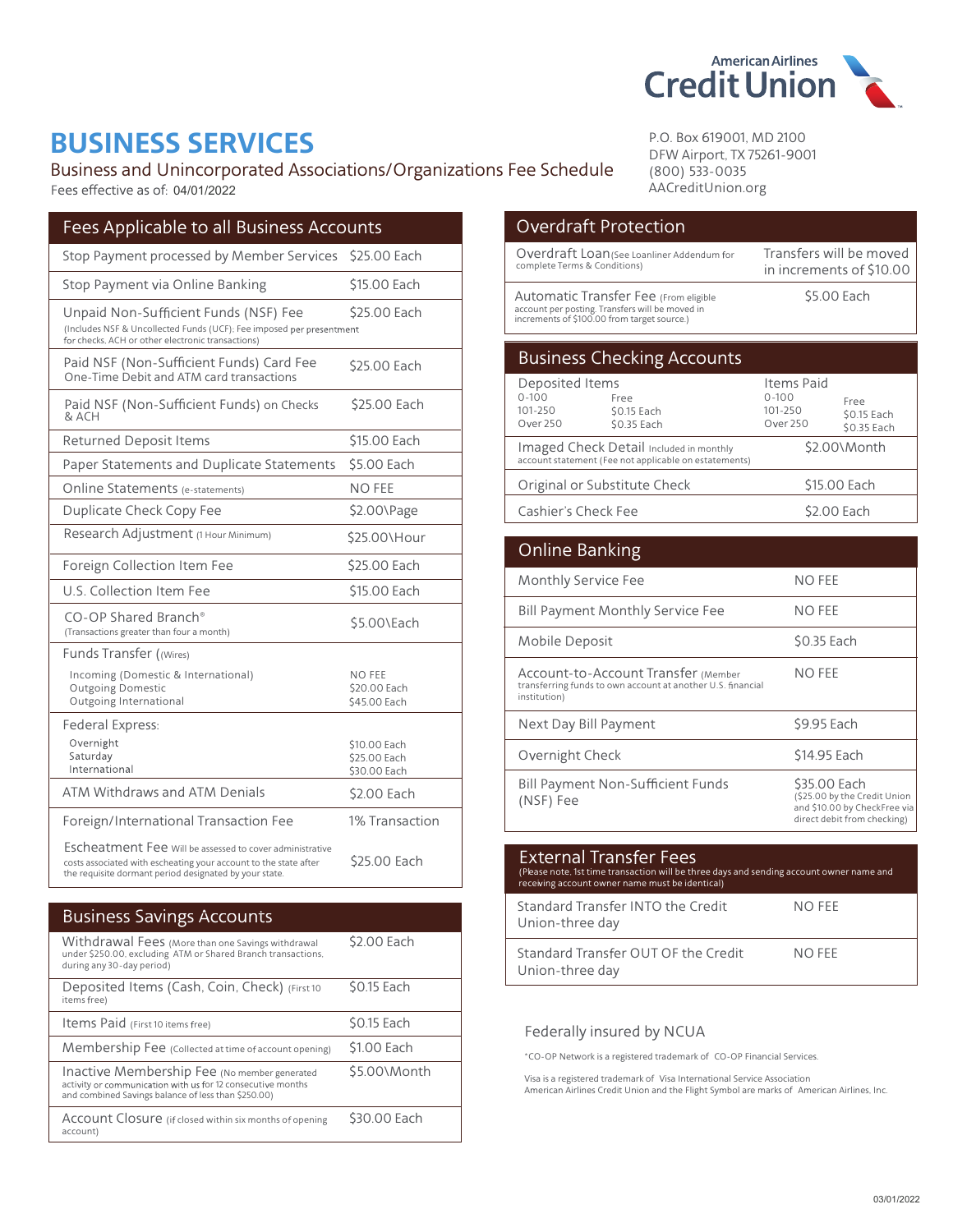

## **BUSINESS SERVICES**

Business and Unincorporated Associations/Organizations Fee Schedule Fees effective as of: 04/01/2022

| Fees Applicable to all Business Accounts                                                                                                                                               |                                              |
|----------------------------------------------------------------------------------------------------------------------------------------------------------------------------------------|----------------------------------------------|
| Stop Payment processed by Member Services                                                                                                                                              | \$25.00 Each                                 |
| Stop Payment via Online Banking                                                                                                                                                        | \$15.00 Each                                 |
| Unpaid Non-Sufficient Funds (NSF) Fee<br>(Includes NSF & Uncollected Funds (UCF); Fee imposed per presentment<br>for checks, ACH or other electronic transactions)                     | \$25.00 Each                                 |
| Paid NSF (Non-Sufficient Funds) Card Fee<br>One-Time Debit and ATM card transactions                                                                                                   | \$25.00 Each                                 |
| Paid NSF (Non-Sufficient Funds) on Checks<br>& ACH                                                                                                                                     | \$25.00 Each                                 |
| <b>Returned Deposit Items</b>                                                                                                                                                          | \$15.00 Each                                 |
| Paper Statements and Duplicate Statements                                                                                                                                              | \$5.00 Each                                  |
| Online Statements (e-statements)                                                                                                                                                       | NO FEE                                       |
| Duplicate Check Copy Fee                                                                                                                                                               | \$2.00\Page                                  |
| Research Adjustment (1 Hour Minimum)                                                                                                                                                   | \$25.00\Hour                                 |
| Foreign Collection Item Fee                                                                                                                                                            | \$25.00 Each                                 |
| U.S. Collection Item Fee                                                                                                                                                               | \$15.00 Each                                 |
| CO-OP Shared Branch®<br>(Transactions greater than four a month)                                                                                                                       | \$5.00\Each                                  |
| Funds Transfer ((Wires)                                                                                                                                                                |                                              |
| Incoming (Domestic & International)<br><b>Outgoing Domestic</b><br>Outgoing International                                                                                              | NO FEE<br>\$20.00 Each<br>\$45.00 Each       |
| Federal Express:<br>Overnight<br>Saturday<br>International                                                                                                                             | \$10.00 Each<br>\$25.00 Each<br>\$30.00 Each |
| ATM Withdraws and ATM Denials                                                                                                                                                          | \$2.00 Each                                  |
| Foreign/International Transaction Fee                                                                                                                                                  | 1% Transaction                               |
| Escheatment Fee Will be assessed to cover administrative<br>costs associated with escheating your account to the state after<br>the requisite dormant period designated by your state. | \$25.00 Each                                 |

| <b>Business Savings Accounts</b>                                                                                                                                   |              |
|--------------------------------------------------------------------------------------------------------------------------------------------------------------------|--------------|
| Withdrawal Fees (More than one Savings withdrawal<br>under \$250.00, excluding ATM or Shared Branch transactions,<br>during any 30-day period)                     | \$2.00 Each  |
| Deposited Items (Cash, Coin, Check) (First 10<br>items free)                                                                                                       | \$0.15 Each  |
| Items Paid (First 10 items free)                                                                                                                                   | \$0.15 Each  |
| Membership Fee (Collected at time of account opening)                                                                                                              | \$1.00 Each  |
| Inactive Membership Fee (No member generated<br>activity or communication with us for 12 consecutive months<br>and combined Savings balance of less than \$250.00) | \$5.00\Month |
| Account Closure (if closed within six months of opening<br>account)                                                                                                | \$30.00 Each |

P.O. Box 619001, MD 2100 DFW Airport, TX 75261-9001  $(800) 533 - 0035$ AACreditUnion.org

| <b>Overdraft Protection</b>                                                                                                             |                                                |                                                     |
|-----------------------------------------------------------------------------------------------------------------------------------------|------------------------------------------------|-----------------------------------------------------|
| Overdraft Loan (See Loanliner Addendum for<br>complete Terms & Conditions)                                                              |                                                | Transfers will be moved<br>in increments of \$10.00 |
| Automatic Transfer Fee (From eligible<br>account per posting. Transfers will be moved in<br>increments of \$100.00 from target source.) | \$5.00 Each                                    |                                                     |
| <b>Business Checking Accounts</b>                                                                                                       |                                                |                                                     |
| Deposited Items<br>$0 - 100$<br>Free<br>101-250<br>\$0.15 Each<br><b>Over 250</b><br>\$0.35 Each                                        | Items Paid<br>$0 - 100$<br>101-250<br>Over 250 | Free<br>\$0.15 Each<br>\$0.35 Each                  |
| Imaged Check Detail Included in monthly<br>account statement (Fee not applicable on estatements)                                        |                                                | \$2.00\Month                                        |
| Original or Substitute Check                                                                                                            |                                                | \$15.00 Each                                        |
| Cashier's Check Fee                                                                                                                     |                                                | \$2.00 Each                                         |

| Online Banking                                                                                                     |                                                                                                             |
|--------------------------------------------------------------------------------------------------------------------|-------------------------------------------------------------------------------------------------------------|
| Monthly Service Fee                                                                                                | NO FEE                                                                                                      |
| <b>Bill Payment Monthly Service Fee</b>                                                                            | NO FEE                                                                                                      |
| Mobile Deposit                                                                                                     | \$0.35 Each                                                                                                 |
| Account-to-Account Transfer (Member<br>transferring funds to own account at another U.S. financial<br>institution) | NO FEE                                                                                                      |
| Next Day Bill Payment                                                                                              | \$9.95 Each                                                                                                 |
| Overnight Check                                                                                                    | \$14.95 Each                                                                                                |
| <b>Bill Payment Non-Sufficient Funds</b><br>(NSF) Fee                                                              | \$35.00 Each<br>(\$25.00 by the Credit Union<br>and \$10.00 by CheckFree via<br>direct debit from checking) |

| <b>External Transfer Fees</b><br>(Please note, 1st time transaction will be three days and sending account owner name and<br>receiving account owner name must be identical) |        |
|------------------------------------------------------------------------------------------------------------------------------------------------------------------------------|--------|
| Standard Transfer INTO the Credit<br>Union-three day                                                                                                                         | NO FFF |
| Standard Transfer OUT OF the Credit<br>Union-three day                                                                                                                       | NO FFF |

#### Federally insured by NCUA

\*CO-OP Network is a registered trademark of CO-OP Financial Services.

Visa is a registered trademark of Visa International Service Association<br>American Airlines Credit Union and the Flight Symbol are marks of American Airlines, Inc.